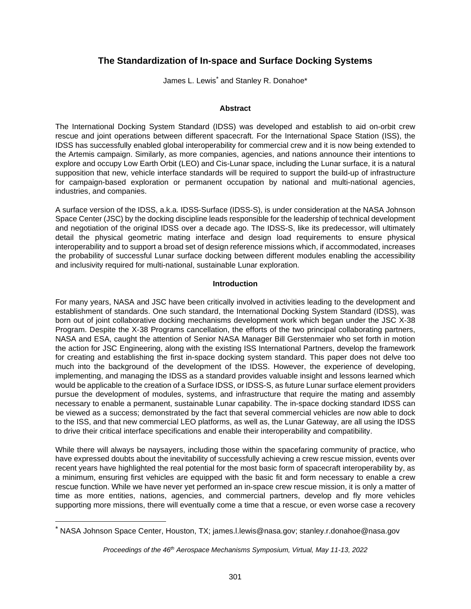# **The Standardization of In-space and Surface Docking Systems**

James L. Lewis<sup>[\\*](#page-0-0)</sup> and Stanley R. Donahoe\*

## **Abstract**

The International Docking System Standard (IDSS) was developed and establish to aid on-orbit crew rescue and joint operations between different spacecraft. For the International Space Station (ISS), the IDSS has successfully enabled global interoperability for commercial crew and it is now being extended to the Artemis campaign. Similarly, as more companies, agencies, and nations announce their intentions to explore and occupy Low Earth Orbit (LEO) and Cis-Lunar space, including the Lunar surface, it is a natural supposition that new, vehicle interface standards will be required to support the build-up of infrastructure for campaign-based exploration or permanent occupation by national and multi-national agencies, industries, and companies.

A surface version of the IDSS, a.k.a. IDSS-Surface (IDSS-S), is under consideration at the NASA Johnson Space Center (JSC) by the docking discipline leads responsible for the leadership of technical development and negotiation of the original IDSS over a decade ago. The IDSS-S, like its predecessor, will ultimately detail the physical geometric mating interface and design load requirements to ensure physical interoperability and to support a broad set of design reference missions which, if accommodated, increases the probability of successful Lunar surface docking between different modules enabling the accessibility and inclusivity required for multi-national, sustainable Lunar exploration.

# **Introduction**

For many years, NASA and JSC have been critically involved in activities leading to the development and establishment of standards. One such standard, the International Docking System Standard (IDSS), was born out of joint collaborative docking mechanisms development work which began under the JSC X-38 Program. Despite the X-38 Programs cancellation, the efforts of the two principal collaborating partners, NASA and ESA, caught the attention of Senior NASA Manager Bill Gerstenmaier who set forth in motion the action for JSC Engineering, along with the existing ISS International Partners, develop the framework for creating and establishing the first in-space docking system standard. This paper does not delve too much into the background of the development of the IDSS. However, the experience of developing, implementing, and managing the IDSS as a standard provides valuable insight and lessons learned which would be applicable to the creation of a Surface IDSS, or IDSS-S, as future Lunar surface element providers pursue the development of modules, systems, and infrastructure that require the mating and assembly necessary to enable a permanent, sustainable Lunar capability. The in-space docking standard IDSS can be viewed as a success; demonstrated by the fact that several commercial vehicles are now able to dock to the ISS, and that new commercial LEO platforms, as well as, the Lunar Gateway, are all using the IDSS to drive their critical interface specifications and enable their interoperability and compatibility.

While there will always be naysayers, including those within the spacefaring community of practice, who have expressed doubts about the inevitability of successfully achieving a crew rescue mission, events over recent years have highlighted the real potential for the most basic form of spacecraft interoperability by, as a minimum, ensuring first vehicles are equipped with the basic fit and form necessary to enable a crew rescue function. While we have never yet performed an in-space crew rescue mission, it is only a matter of time as more entities, nations, agencies, and commercial partners, develop and fly more vehicles supporting more missions, there will eventually come a time that a rescue, or even worse case a recovery

<span id="page-0-0"></span><sup>\*</sup> NASA Johnson Space Center, Houston, TX; james.l.lewis@nasa.gov; stanley.r.donahoe@nasa.gov

*Proceedings of the 46th Aerospace Mechanisms Symposium, Virtual, May 11-13, 2022*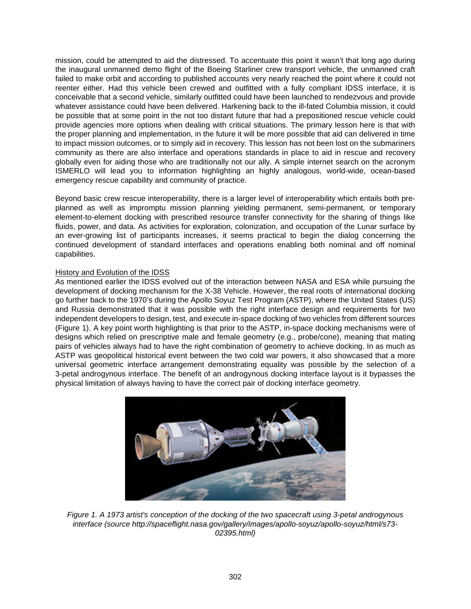mission, could be attempted to aid the distressed. To accentuate this point it wasn't that long ago during the inaugural unmanned demo flight of the Boeing Starliner crew transport vehicle, the unmanned craft failed to make orbit and according to published accounts very nearly reached the point where it could not reenter either. Had this vehicle been crewed and outfitted with a fully compliant IDSS interface, it is conceivable that a second vehicle, similarly outfitted could have been launched to rendezvous and provide whatever assistance could have been delivered. Harkening back to the ill-fated Columbia mission, it could be possible that at some point in the not too distant future that had a prepositioned rescue vehicle could provide agencies more options when dealing with critical situations. The primary lesson here is that with the proper planning and implementation, in the future it will be more possible that aid can delivered in time to impact mission outcomes, or to simply aid in recovery. This lesson has not been lost on the submariners community as there are also interface and operations standards in place to aid in rescue and recovery globally even for aiding those who are traditionally not our ally. A simple internet search on the acronym ISMERLO will lead you to information highlighting an highly analogous, world-wide, ocean-based emergency rescue capability and community of practice.

Beyond basic crew rescue interoperability, there is a larger level of interoperability which entails both preplanned as well as impromptu mission planning yielding permanent, semi-permanent, or temporary element-to-element docking with prescribed resource transfer connectivity for the sharing of things like fluids, power, and data. As activities for exploration, colonization, and occupation of the Lunar surface by an ever-growing list of participants increases, it seems practical to begin the dialog concerning the continued development of standard interfaces and operations enabling both nominal and off nominal capabilities.

# History and Evolution of the IDSS

As mentioned earlier the IDSS evolved out of the interaction between NASA and ESA while pursuing the development of docking mechanism for the X-38 Vehicle. However, the real roots of international docking go further back to the 1970's during the Apollo Soyuz Test Program (ASTP), where the United States (US) and Russia demonstrated that it was possible with the right interface design and requirements for two independent developers to design, test, and execute in-space docking of two vehicles from different sources (Figure 1). A key point worth highlighting is that prior to the ASTP, in-space docking mechanisms were of designs which relied on prescriptive male and female geometry (e.g., probe/cone), meaning that mating pairs of vehicles always had to have the right combination of geometry to achieve docking. In as much as ASTP was geopolitical historical event between the two cold war powers, it also showcased that a more universal geometric interface arrangement demonstrating equality was possible by the selection of a 3-petal androgynous interface. The benefit of an androgynous docking interface layout is it bypasses the physical limitation of always having to have the correct pair of docking interface geometry.



*Figure 1. A 1973 artist's conception of the docking of the two spacecraft using 3-petal androgynous interface (source http://spaceflight.nasa.gov/gallery/images/apollo-soyuz/apollo-soyuz/html/s73- 02395.html)*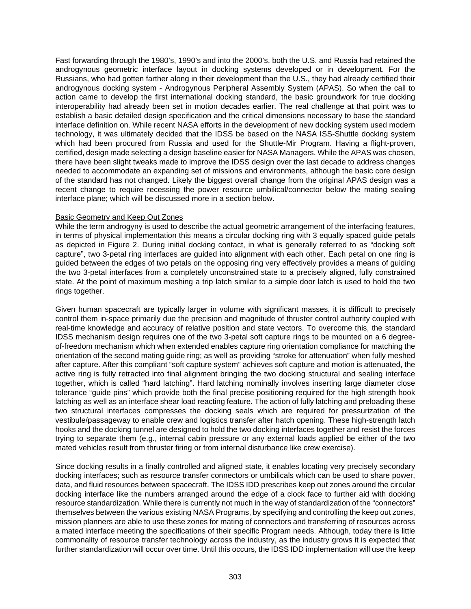Fast forwarding through the 1980's, 1990's and into the 2000's, both the U.S. and Russia had retained the androgynous geometric interface layout in docking systems developed or in development. For the Russians, who had gotten farther along in their development than the U.S., they had already certified their androgynous docking system - Androgynous Peripheral Assembly System (APAS). So when the call to action came to develop the first international docking standard, the basic groundwork for true docking interoperability had already been set in motion decades earlier. The real challenge at that point was to establish a basic detailed design specification and the critical dimensions necessary to base the standard interface definition on. While recent NASA efforts in the development of new docking system used modern technology, it was ultimately decided that the IDSS be based on the NASA ISS-Shuttle docking system which had been procured from Russia and used for the Shuttle-Mir Program. Having a flight-proven, certified, design made selecting a design baseline easier for NASA Managers. While the APAS was chosen, there have been slight tweaks made to improve the IDSS design over the last decade to address changes needed to accommodate an expanding set of missions and environments, although the basic core design of the standard has not changed. Likely the biggest overall change from the original APAS design was a recent change to require recessing the power resource umbilical/connector below the mating sealing interface plane; which will be discussed more in a section below.

### Basic Geometry and Keep Out Zones

While the term androgyny is used to describe the actual geometric arrangement of the interfacing features, in terms of physical implementation this means a circular docking ring with 3 equally spaced guide petals as depicted in Figure 2. During initial docking contact, in what is generally referred to as "docking soft capture", two 3-petal ring interfaces are guided into alignment with each other. Each petal on one ring is guided between the edges of two petals on the opposing ring very effectively provides a means of guiding the two 3-petal interfaces from a completely unconstrained state to a precisely aligned, fully constrained state. At the point of maximum meshing a trip latch similar to a simple door latch is used to hold the two rings together.

Given human spacecraft are typically larger in volume with significant masses, it is difficult to precisely control them in-space primarily due the precision and magnitude of thruster control authority coupled with real-time knowledge and accuracy of relative position and state vectors. To overcome this, the standard IDSS mechanism design requires one of the two 3-petal soft capture rings to be mounted on a 6 degreeof-freedom mechanism which when extended enables capture ring orientation compliance for matching the orientation of the second mating guide ring; as well as providing "stroke for attenuation" when fully meshed after capture. After this compliant "soft capture system" achieves soft capture and motion is attenuated, the active ring is fully retracted into final alignment bringing the two docking structural and sealing interface together, which is called "hard latching". Hard latching nominally involves inserting large diameter close tolerance "guide pins" which provide both the final precise positioning required for the high strength hook latching as well as an interface shear load reacting feature. The action of fully latching and preloading these two structural interfaces compresses the docking seals which are required for pressurization of the vestibule/passageway to enable crew and logistics transfer after hatch opening. These high-strength latch hooks and the docking tunnel are designed to hold the two docking interfaces together and resist the forces trying to separate them (e.g., internal cabin pressure or any external loads applied be either of the two mated vehicles result from thruster firing or from internal disturbance like crew exercise).

Since docking results in a finally controlled and aligned state, it enables locating very precisely secondary docking interfaces; such as resource transfer connectors or umbilicals which can be used to share power, data, and fluid resources between spacecraft. The IDSS IDD prescribes keep out zones around the circular docking interface like the numbers arranged around the edge of a clock face to further aid with docking resource standardization. While there is currently not much in the way of standardization of the "connectors" themselves between the various existing NASA Programs, by specifying and controlling the keep out zones, mission planners are able to use these zones for mating of connectors and transferring of resources across a mated interface meeting the specifications of their specific Program needs. Although, today there is little commonality of resource transfer technology across the industry, as the industry grows it is expected that further standardization will occur over time. Until this occurs, the IDSS IDD implementation will use the keep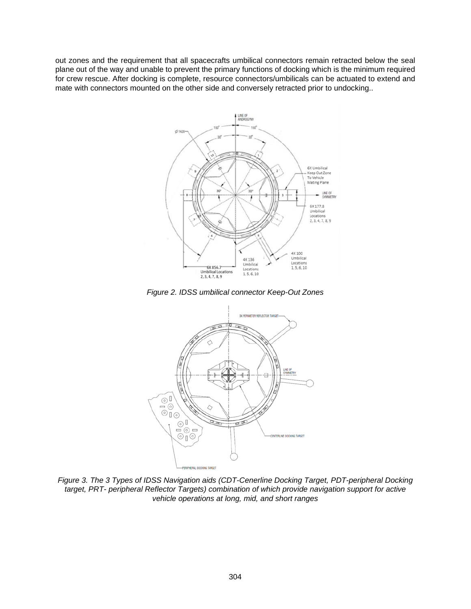out zones and the requirement that all spacecrafts umbilical connectors remain retracted below the seal plane out of the way and unable to prevent the primary functions of docking which is the minimum required for crew rescue. After docking is complete, resource connectors/umbilicals can be actuated to extend and mate with connectors mounted on the other side and conversely retracted prior to undocking..



*Figure 2. IDSS umbilical connector Keep-Out Zones* 



*Figure 3. The 3 Types of IDSS Navigation aids (CDT-Cenerline Docking Target, PDT-peripheral Docking target, PRT- peripheral Reflector Targets) combination of which provide navigation support for active vehicle operations at long, mid, and short ranges*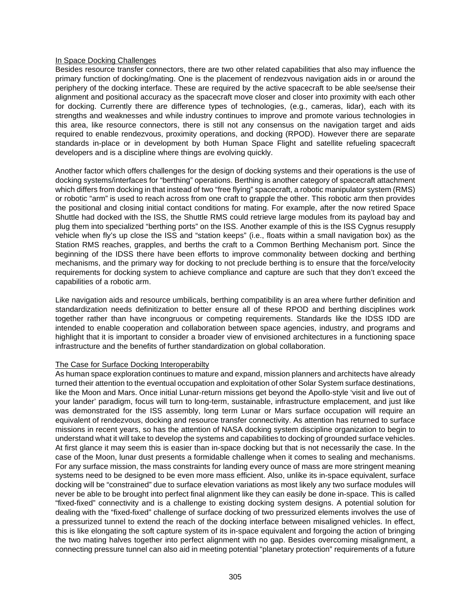### In Space Docking Challenges

Besides resource transfer connectors, there are two other related capabilities that also may influence the primary function of docking/mating. One is the placement of rendezvous navigation aids in or around the periphery of the docking interface. These are required by the active spacecraft to be able see/sense their alignment and positional accuracy as the spacecraft move closer and closer into proximity with each other for docking. Currently there are difference types of technologies, (e.g., cameras, lidar), each with its strengths and weaknesses and while industry continues to improve and promote various technologies in this area, like resource connectors, there is still not any consensus on the navigation target and aids required to enable rendezvous, proximity operations, and docking (RPOD). However there are separate standards in-place or in development by both Human Space Flight and satellite refueling spacecraft developers and is a discipline where things are evolving quickly.

Another factor which offers challenges for the design of docking systems and their operations is the use of docking systems/interfaces for "berthing" operations. Berthing is another category of spacecraft attachment which differs from docking in that instead of two "free flying" spacecraft, a robotic manipulator system (RMS) or robotic "arm" is used to reach across from one craft to grapple the other. This robotic arm then provides the positional and closing initial contact conditions for mating. For example, after the now retired Space Shuttle had docked with the ISS, the Shuttle RMS could retrieve large modules from its payload bay and plug them into specialized "berthing ports" on the ISS. Another example of this is the ISS Cygnus resupply vehicle when fly's up close the ISS and "station keeps" (i.e., floats within a small navigation box) as the Station RMS reaches, grapples, and berths the craft to a Common Berthing Mechanism port. Since the beginning of the IDSS there have been efforts to improve commonality between docking and berthing mechanisms, and the primary way for docking to not preclude berthing is to ensure that the force/velocity requirements for docking system to achieve compliance and capture are such that they don't exceed the capabilities of a robotic arm.

Like navigation aids and resource umbilicals, berthing compatibility is an area where further definition and standardization needs definitization to better ensure all of these RPOD and berthing disciplines work together rather than have incongruous or competing requirements. Standards like the IDSS IDD are intended to enable cooperation and collaboration between space agencies, industry, and programs and highlight that it is important to consider a broader view of envisioned architectures in a functioning space infrastructure and the benefits of further standardization on global collaboration.

### The Case for Surface Docking Interoperabilty

As human space exploration continues to mature and expand, mission planners and architects have already turned their attention to the eventual occupation and exploitation of other Solar System surface destinations, like the Moon and Mars. Once initial Lunar-return missions get beyond the Apollo-style 'visit and live out of your lander' paradigm, focus will turn to long-term, sustainable, infrastructure emplacement, and just like was demonstrated for the ISS assembly, long term Lunar or Mars surface occupation will require an equivalent of rendezvous, docking and resource transfer connectivity. As attention has returned to surface missions in recent years, so has the attention of NASA docking system discipline organization to begin to understand what it will take to develop the systems and capabilities to docking of grounded surface vehicles. At first glance it may seem this is easier than in-space docking but that is not necessarily the case. In the case of the Moon, lunar dust presents a formidable challenge when it comes to sealing and mechanisms. For any surface mission, the mass constraints for landing every ounce of mass are more stringent meaning systems need to be designed to be even more mass efficient. Also, unlike its in-space equivalent, surface docking will be "constrained" due to surface elevation variations as most likely any two surface modules will never be able to be brought into perfect final alignment like they can easily be done in-space. This is called "fixed-fixed" connectivity and is a challenge to existing docking system designs. A potential solution for dealing with the "fixed-fixed" challenge of surface docking of two pressurized elements involves the use of a pressurized tunnel to extend the reach of the docking interface between misaligned vehicles. In effect, this is like elongating the soft capture system of its in-space equivalent and forgoing the action of bringing the two mating halves together into perfect alignment with no gap. Besides overcoming misalignment, a connecting pressure tunnel can also aid in meeting potential "planetary protection" requirements of a future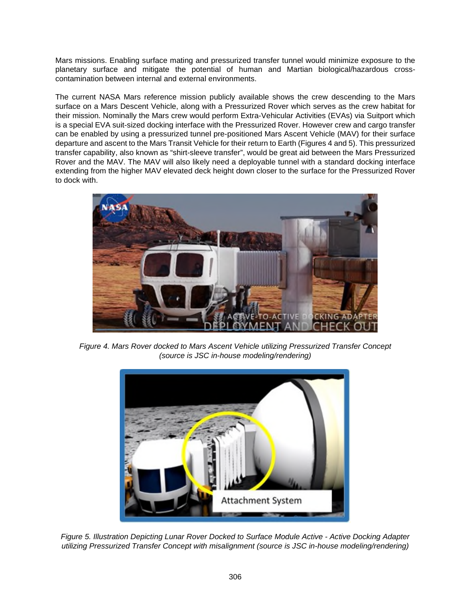Mars missions. Enabling surface mating and pressurized transfer tunnel would minimize exposure to the planetary surface and mitigate the potential of human and Martian biological/hazardous crosscontamination between internal and external environments.

The current NASA Mars reference mission publicly available shows the crew descending to the Mars surface on a Mars Descent Vehicle, along with a Pressurized Rover which serves as the crew habitat for their mission. Nominally the Mars crew would perform Extra-Vehicular Activities (EVAs) via Suitport which is a special EVA suit-sized docking interface with the Pressurized Rover. However crew and cargo transfer can be enabled by using a pressurized tunnel pre-positioned Mars Ascent Vehicle (MAV) for their surface departure and ascent to the Mars Transit Vehicle for their return to Earth (Figures 4 and 5). This pressurized transfer capability, also known as "shirt-sleeve transfer", would be great aid between the Mars Pressurized Rover and the MAV. The MAV will also likely need a deployable tunnel with a standard docking interface extending from the higher MAV elevated deck height down closer to the surface for the Pressurized Rover to dock with.



*Figure 4. Mars Rover docked to Mars Ascent Vehicle utilizing Pressurized Transfer Concept (source is JSC in-house modeling/rendering)* 



*Figure 5. Illustration Depicting Lunar Rover Docked to Surface Module Active - Active Docking Adapter utilizing Pressurized Transfer Concept with misalignment (source is JSC in-house modeling/rendering)*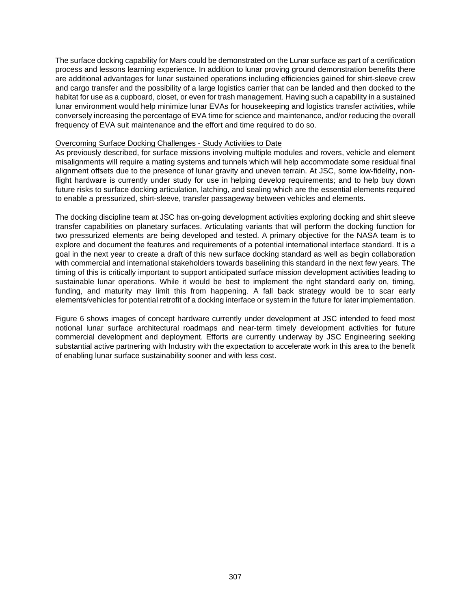The surface docking capability for Mars could be demonstrated on the Lunar surface as part of a certification process and lessons learning experience. In addition to lunar proving ground demonstration benefits there are additional advantages for lunar sustained operations including efficiencies gained for shirt-sleeve crew and cargo transfer and the possibility of a large logistics carrier that can be landed and then docked to the habitat for use as a cupboard, closet, or even for trash management. Having such a capability in a sustained lunar environment would help minimize lunar EVAs for housekeeping and logistics transfer activities, while conversely increasing the percentage of EVA time for science and maintenance, and/or reducing the overall frequency of EVA suit maintenance and the effort and time required to do so.

#### Overcoming Surface Docking Challenges - Study Activities to Date

As previously described, for surface missions involving multiple modules and rovers, vehicle and element misalignments will require a mating systems and tunnels which will help accommodate some residual final alignment offsets due to the presence of lunar gravity and uneven terrain. At JSC, some low-fidelity, nonflight hardware is currently under study for use in helping develop requirements; and to help buy down future risks to surface docking articulation, latching, and sealing which are the essential elements required to enable a pressurized, shirt-sleeve, transfer passageway between vehicles and elements.

The docking discipline team at JSC has on-going development activities exploring docking and shirt sleeve transfer capabilities on planetary surfaces. Articulating variants that will perform the docking function for two pressurized elements are being developed and tested. A primary objective for the NASA team is to explore and document the features and requirements of a potential international interface standard. It is a goal in the next year to create a draft of this new surface docking standard as well as begin collaboration with commercial and international stakeholders towards baselining this standard in the next few years. The timing of this is critically important to support anticipated surface mission development activities leading to sustainable lunar operations. While it would be best to implement the right standard early on, timing, funding, and maturity may limit this from happening. A fall back strategy would be to scar early elements/vehicles for potential retrofit of a docking interface or system in the future for later implementation.

Figure 6 shows images of concept hardware currently under development at JSC intended to feed most notional lunar surface architectural roadmaps and near-term timely development activities for future commercial development and deployment. Efforts are currently underway by JSC Engineering seeking substantial active partnering with Industry with the expectation to accelerate work in this area to the benefit of enabling lunar surface sustainability sooner and with less cost.